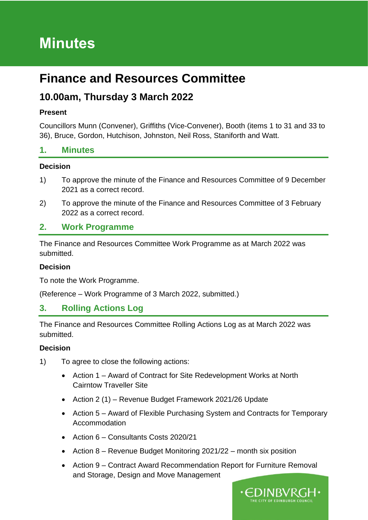# **Minutes**

## **Finance and Resources Committee**

### **10.00am, Thursday 3 March 2022**

#### **Present**

Councillors Munn (Convener), Griffiths (Vice-Convener), Booth (items 1 to 31 and 33 to 36), Bruce, Gordon, Hutchison, Johnston, Neil Ross, Staniforth and Watt.

### **1. Minutes**

#### **Decision**

- 1) To approve the minute of the Finance and Resources Committee of 9 December 2021 as a correct record.
- 2) To approve the minute of the Finance and Resources Committee of 3 February 2022 as a correct record.

### **2. Work Programme**

The Finance and Resources Committee Work Programme as at March 2022 was submitted.

#### **Decision**

To note the Work Programme.

(Reference – Work Programme of 3 March 2022, submitted.)

### **3. Rolling Actions Log**

The Finance and Resources Committee Rolling Actions Log as at March 2022 was submitted.

#### **Decision**

- 1) To agree to close the following actions:
	- Action 1 Award of Contract for Site Redevelopment Works at North Cairntow Traveller Site
	- Action 2 (1) Revenue Budget Framework 2021/26 Update
	- Action 5 Award of Flexible Purchasing System and Contracts for Temporary Accommodation
	- Action 6 Consultants Costs 2020/21
	- Action 8 Revenue Budget Monitoring 2021/22 month six position
	- Action 9 Contract Award Recommendation Report for Furniture Removal and Storage, Design and Move Management

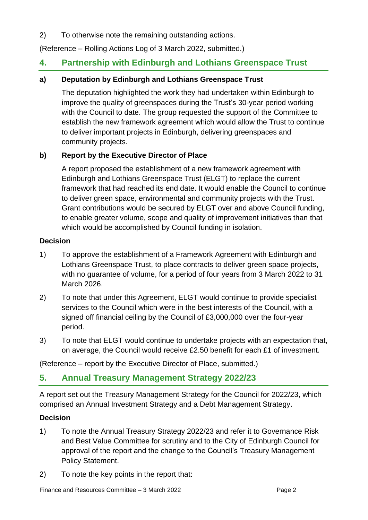2) To otherwise note the remaining outstanding actions.

(Reference – Rolling Actions Log of 3 March 2022, submitted.)

### **4. Partnership with Edinburgh and Lothians Greenspace Trust**

#### **a) Deputation by Edinburgh and Lothians Greenspace Trust**

The deputation highlighted the work they had undertaken within Edinburgh to improve the quality of greenspaces during the Trust's 30-year period working with the Council to date. The group requested the support of the Committee to establish the new framework agreement which would allow the Trust to continue to deliver important projects in Edinburgh, delivering greenspaces and community projects.

#### **b) Report by the Executive Director of Place**

A report proposed the establishment of a new framework agreement with Edinburgh and Lothians Greenspace Trust (ELGT) to replace the current framework that had reached its end date. It would enable the Council to continue to deliver green space, environmental and community projects with the Trust. Grant contributions would be secured by ELGT over and above Council funding, to enable greater volume, scope and quality of improvement initiatives than that which would be accomplished by Council funding in isolation.

#### **Decision**

- 1) To approve the establishment of a Framework Agreement with Edinburgh and Lothians Greenspace Trust, to place contracts to deliver green space projects, with no guarantee of volume, for a period of four years from 3 March 2022 to 31 March 2026.
- 2) To note that under this Agreement, ELGT would continue to provide specialist services to the Council which were in the best interests of the Council, with a signed off financial ceiling by the Council of £3,000,000 over the four-year period.
- 3) To note that ELGT would continue to undertake projects with an expectation that, on average, the Council would receive £2.50 benefit for each £1 of investment.

(Reference – report by the Executive Director of Place, submitted.)

### **5. Annual Treasury Management Strategy 2022/23**

A report set out the Treasury Management Strategy for the Council for 2022/23, which comprised an Annual Investment Strategy and a Debt Management Strategy.

#### **Decision**

- 1) To note the Annual Treasury Strategy 2022/23 and refer it to Governance Risk and Best Value Committee for scrutiny and to the City of Edinburgh Council for approval of the report and the change to the Council's Treasury Management Policy Statement.
- 2) To note the key points in the report that: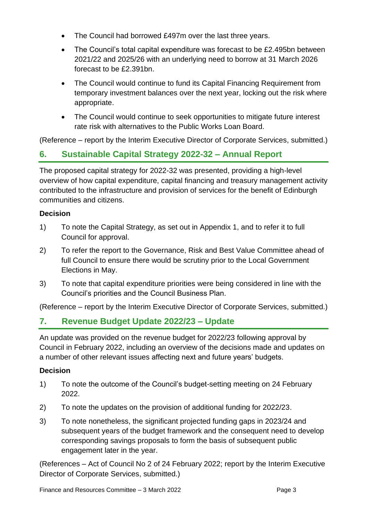- The Council had borrowed £497m over the last three years.
- The Council's total capital expenditure was forecast to be £2.495bn between 2021/22 and 2025/26 with an underlying need to borrow at 31 March 2026 forecast to be £2.391bn.
- The Council would continue to fund its Capital Financing Requirement from temporary investment balances over the next year, locking out the risk where appropriate.
- The Council would continue to seek opportunities to mitigate future interest rate risk with alternatives to the Public Works Loan Board.

(Reference – report by the Interim Executive Director of Corporate Services, submitted.)

### **6. Sustainable Capital Strategy 2022-32 – Annual Report**

The proposed capital strategy for 2022-32 was presented, providing a high-level overview of how capital expenditure, capital financing and treasury management activity contributed to the infrastructure and provision of services for the benefit of Edinburgh communities and citizens.

#### **Decision**

- 1) To note the Capital Strategy, as set out in Appendix 1, and to refer it to full Council for approval.
- 2) To refer the report to the Governance, Risk and Best Value Committee ahead of full Council to ensure there would be scrutiny prior to the Local Government Elections in May.
- 3) To note that capital expenditure priorities were being considered in line with the Council's priorities and the Council Business Plan.

(Reference – report by the Interim Executive Director of Corporate Services, submitted.)

### **7. Revenue Budget Update 2022/23 – Update**

An update was provided on the revenue budget for 2022/23 following approval by Council in February 2022, including an overview of the decisions made and updates on a number of other relevant issues affecting next and future years' budgets.

#### **Decision**

- 1) To note the outcome of the Council's budget-setting meeting on 24 February 2022.
- 2) To note the updates on the provision of additional funding for 2022/23.
- 3) To note nonetheless, the significant projected funding gaps in 2023/24 and subsequent years of the budget framework and the consequent need to develop corresponding savings proposals to form the basis of subsequent public engagement later in the year.

(References – Act of Council No 2 of 24 February 2022; report by the Interim Executive Director of Corporate Services, submitted.)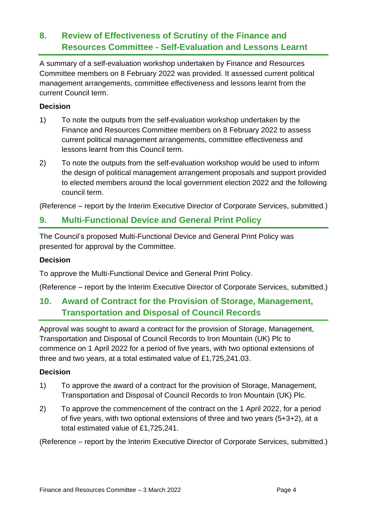### **8. Review of Effectiveness of Scrutiny of the Finance and Resources Committee - Self-Evaluation and Lessons Learnt**

A summary of a self-evaluation workshop undertaken by Finance and Resources Committee members on 8 February 2022 was provided. It assessed current political management arrangements, committee effectiveness and lessons learnt from the current Council term.

#### **Decision**

- 1) To note the outputs from the self-evaluation workshop undertaken by the Finance and Resources Committee members on 8 February 2022 to assess current political management arrangements, committee effectiveness and lessons learnt from this Council term.
- 2) To note the outputs from the self-evaluation workshop would be used to inform the design of political management arrangement proposals and support provided to elected members around the local government election 2022 and the following council term.

(Reference – report by the Interim Executive Director of Corporate Services, submitted.)

### **9. Multi-Functional Device and General Print Policy**

The Council's proposed Multi-Functional Device and General Print Policy was presented for approval by the Committee.

#### **Decision**

To approve the Multi-Functional Device and General Print Policy.

(Reference – report by the Interim Executive Director of Corporate Services, submitted.)

### **10. Award of Contract for the Provision of Storage, Management, Transportation and Disposal of Council Records**

Approval was sought to award a contract for the provision of Storage, Management, Transportation and Disposal of Council Records to Iron Mountain (UK) Plc to commence on 1 April 2022 for a period of five years, with two optional extensions of three and two years, at a total estimated value of £1,725,241.03.

#### **Decision**

- 1) To approve the award of a contract for the provision of Storage, Management, Transportation and Disposal of Council Records to Iron Mountain (UK) Plc.
- 2) To approve the commencement of the contract on the 1 April 2022, for a period of five years, with two optional extensions of three and two years (5+3+2), at a total estimated value of £1,725,241.

(Reference – report by the Interim Executive Director of Corporate Services, submitted.)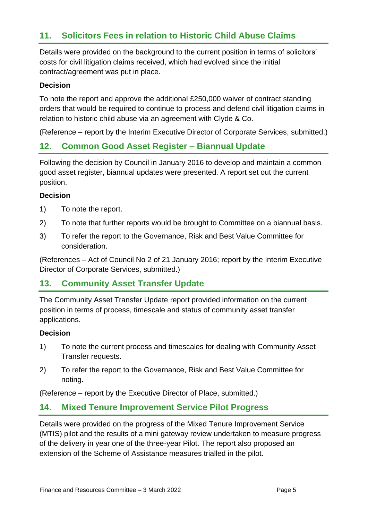### **11. Solicitors Fees in relation to Historic Child Abuse Claims**

Details were provided on the background to the current position in terms of solicitors' costs for civil litigation claims received, which had evolved since the initial contract/agreement was put in place.

#### **Decision**

To note the report and approve the additional £250,000 waiver of contract standing orders that would be required to continue to process and defend civil litigation claims in relation to historic child abuse via an agreement with Clyde & Co.

(Reference – report by the Interim Executive Director of Corporate Services, submitted.)

### **12. Common Good Asset Register – Biannual Update**

Following the decision by Council in January 2016 to develop and maintain a common good asset register, biannual updates were presented. A report set out the current position.

#### **Decision**

- 1) To note the report.
- 2) To note that further reports would be brought to Committee on a biannual basis.
- 3) To refer the report to the Governance, Risk and Best Value Committee for consideration.

(References – Act of Council No 2 of 21 January 2016; report by the Interim Executive Director of Corporate Services, submitted.)

#### **13. Community Asset Transfer Update**

The Community Asset Transfer Update report provided information on the current position in terms of process, timescale and status of community asset transfer applications.

#### **Decision**

- 1) To note the current process and timescales for dealing with Community Asset Transfer requests.
- 2) To refer the report to the Governance, Risk and Best Value Committee for noting.

(Reference – report by the Executive Director of Place, submitted.)

### **14. Mixed Tenure Improvement Service Pilot Progress**

Details were provided on the progress of the Mixed Tenure Improvement Service (MTIS) pilot and the results of a mini gateway review undertaken to measure progress of the delivery in year one of the three-year Pilot. The report also proposed an extension of the Scheme of Assistance measures trialled in the pilot.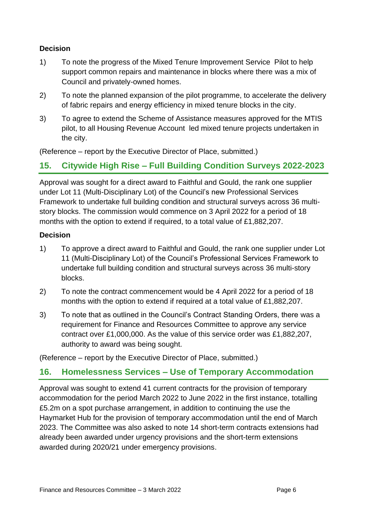- 1) To note the progress of the Mixed Tenure Improvement Service Pilot to help support common repairs and maintenance in blocks where there was a mix of Council and privately-owned homes.
- 2) To note the planned expansion of the pilot programme, to accelerate the delivery of fabric repairs and energy efficiency in mixed tenure blocks in the city.
- 3) To agree to extend the Scheme of Assistance measures approved for the MTIS pilot, to all Housing Revenue Account led mixed tenure projects undertaken in the city.

(Reference – report by the Executive Director of Place, submitted.)

### **15. Citywide High Rise – Full Building Condition Surveys 2022-2023**

Approval was sought for a direct award to Faithful and Gould, the rank one supplier under Lot 11 (Multi-Disciplinary Lot) of the Council's new Professional Services Framework to undertake full building condition and structural surveys across 36 multistory blocks. The commission would commence on 3 April 2022 for a period of 18 months with the option to extend if required, to a total value of £1,882,207.

#### **Decision**

- 1) To approve a direct award to Faithful and Gould, the rank one supplier under Lot 11 (Multi-Disciplinary Lot) of the Council's Professional Services Framework to undertake full building condition and structural surveys across 36 multi-story blocks.
- 2) To note the contract commencement would be 4 April 2022 for a period of 18 months with the option to extend if required at a total value of £1,882,207.
- 3) To note that as outlined in the Council's Contract Standing Orders, there was a requirement for Finance and Resources Committee to approve any service contract over £1,000,000. As the value of this service order was £1,882,207, authority to award was being sought.

(Reference – report by the Executive Director of Place, submitted.)

### **16. Homelessness Services – Use of Temporary Accommodation**

Approval was sought to extend 41 current contracts for the provision of temporary accommodation for the period March 2022 to June 2022 in the first instance, totalling £5.2m on a spot purchase arrangement, in addition to continuing the use the Haymarket Hub for the provision of temporary accommodation until the end of March 2023. The Committee was also asked to note 14 short-term contracts extensions had already been awarded under urgency provisions and the short-term extensions awarded during 2020/21 under emergency provisions.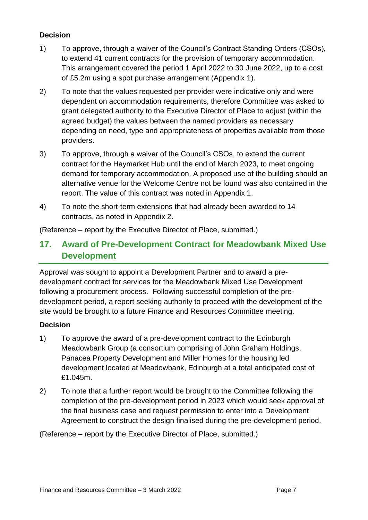- 1) To approve, through a waiver of the Council's Contract Standing Orders (CSOs), to extend 41 current contracts for the provision of temporary accommodation. This arrangement covered the period 1 April 2022 to 30 June 2022, up to a cost of £5.2m using a spot purchase arrangement (Appendix 1).
- 2) To note that the values requested per provider were indicative only and were dependent on accommodation requirements, therefore Committee was asked to grant delegated authority to the Executive Director of Place to adjust (within the agreed budget) the values between the named providers as necessary depending on need, type and appropriateness of properties available from those providers.
- 3) To approve, through a waiver of the Council's CSOs, to extend the current contract for the Haymarket Hub until the end of March 2023, to meet ongoing demand for temporary accommodation. A proposed use of the building should an alternative venue for the Welcome Centre not be found was also contained in the report. The value of this contract was noted in Appendix 1.
- 4) To note the short-term extensions that had already been awarded to 14 contracts, as noted in Appendix 2.

(Reference – report by the Executive Director of Place, submitted.)

### **17. Award of Pre-Development Contract for Meadowbank Mixed Use Development**

Approval was sought to appoint a Development Partner and to award a predevelopment contract for services for the Meadowbank Mixed Use Development following a procurement process. Following successful completion of the predevelopment period, a report seeking authority to proceed with the development of the site would be brought to a future Finance and Resources Committee meeting.

#### **Decision**

- 1) To approve the award of a pre-development contract to the Edinburgh Meadowbank Group (a consortium comprising of John Graham Holdings, Panacea Property Development and Miller Homes for the housing led development located at Meadowbank, Edinburgh at a total anticipated cost of £1.045m.
- 2) To note that a further report would be brought to the Committee following the completion of the pre-development period in 2023 which would seek approval of the final business case and request permission to enter into a Development Agreement to construct the design finalised during the pre-development period.

(Reference – report by the Executive Director of Place, submitted.)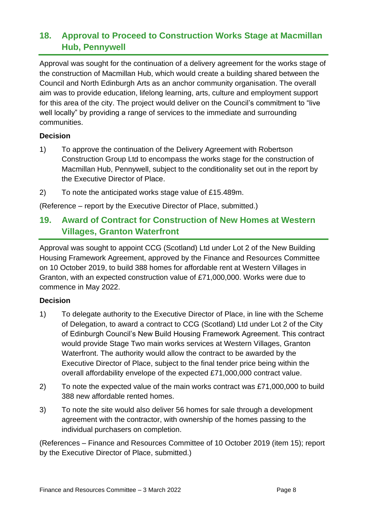### **18. Approval to Proceed to Construction Works Stage at Macmillan Hub, Pennywell**

Approval was sought for the continuation of a delivery agreement for the works stage of the construction of Macmillan Hub, which would create a building shared between the Council and North Edinburgh Arts as an anchor community organisation. The overall aim was to provide education, lifelong learning, arts, culture and employment support for this area of the city. The project would deliver on the Council's commitment to "live well locally" by providing a range of services to the immediate and surrounding communities.

#### **Decision**

- 1) To approve the continuation of the Delivery Agreement with Robertson Construction Group Ltd to encompass the works stage for the construction of Macmillan Hub, Pennywell, subject to the conditionality set out in the report by the Executive Director of Place.
- 2) To note the anticipated works stage value of £15.489m.

(Reference – report by the Executive Director of Place, submitted.)

### **19. Award of Contract for Construction of New Homes at Western Villages, Granton Waterfront**

Approval was sought to appoint CCG (Scotland) Ltd under Lot 2 of the New Building Housing Framework Agreement, approved by the Finance and Resources Committee on 10 October 2019, to build 388 homes for affordable rent at Western Villages in Granton, with an expected construction value of £71,000,000. Works were due to commence in May 2022.

#### **Decision**

- 1) To delegate authority to the Executive Director of Place, in line with the Scheme of Delegation, to award a contract to CCG (Scotland) Ltd under Lot 2 of the City of Edinburgh Council's New Build Housing Framework Agreement. This contract would provide Stage Two main works services at Western Villages, Granton Waterfront. The authority would allow the contract to be awarded by the Executive Director of Place, subject to the final tender price being within the overall affordability envelope of the expected £71,000,000 contract value.
- 2) To note the expected value of the main works contract was £71,000,000 to build 388 new affordable rented homes.
- 3) To note the site would also deliver 56 homes for sale through a development agreement with the contractor, with ownership of the homes passing to the individual purchasers on completion.

(References – Finance and Resources Committee of 10 October 2019 (item 15); report by the Executive Director of Place, submitted.)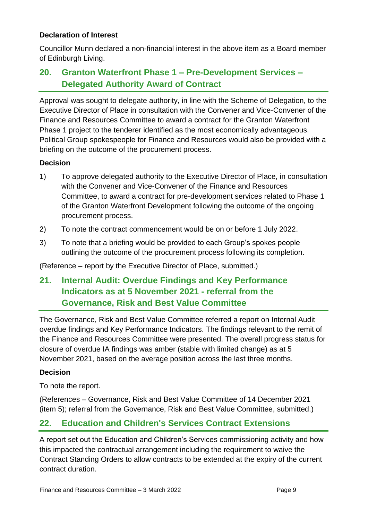#### **Declaration of Interest**

Councillor Munn declared a non-financial interest in the above item as a Board member of Edinburgh Living.

### **20. Granton Waterfront Phase 1 – Pre-Development Services – Delegated Authority Award of Contract**

Approval was sought to delegate authority, in line with the Scheme of Delegation, to the Executive Director of Place in consultation with the Convener and Vice-Convener of the Finance and Resources Committee to award a contract for the Granton Waterfront Phase 1 project to the tenderer identified as the most economically advantageous. Political Group spokespeople for Finance and Resources would also be provided with a briefing on the outcome of the procurement process.

#### **Decision**

- 1) To approve delegated authority to the Executive Director of Place, in consultation with the Convener and Vice-Convener of the Finance and Resources Committee, to award a contract for pre-development services related to Phase 1 of the Granton Waterfront Development following the outcome of the ongoing procurement process.
- 2) To note the contract commencement would be on or before 1 July 2022.
- 3) To note that a briefing would be provided to each Group's spokes people outlining the outcome of the procurement process following its completion.

(Reference – report by the Executive Director of Place, submitted.)

### **21. Internal Audit: Overdue Findings and Key Performance Indicators as at 5 November 2021 - referral from the Governance, Risk and Best Value Committee**

The Governance, Risk and Best Value Committee referred a report on Internal Audit overdue findings and Key Performance Indicators. The findings relevant to the remit of the Finance and Resources Committee were presented. The overall progress status for closure of overdue IA findings was amber (stable with limited change) as at 5 November 2021, based on the average position across the last three months.

#### **Decision**

To note the report.

(References – Governance, Risk and Best Value Committee of 14 December 2021 (item 5); referral from the Governance, Risk and Best Value Committee, submitted.)

### **22. Education and Children's Services Contract Extensions**

A report set out the Education and Children's Services commissioning activity and how this impacted the contractual arrangement including the requirement to waive the Contract Standing Orders to allow contracts to be extended at the expiry of the current contract duration.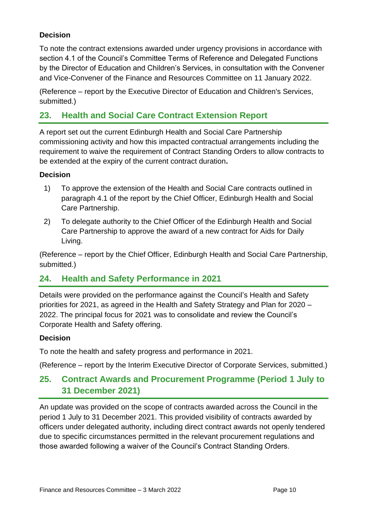To note the contract extensions awarded under urgency provisions in accordance with section 4.1 of the Council's Committee Terms of Reference and Delegated Functions by the Director of Education and Children's Services, in consultation with the Convener and Vice-Convener of the Finance and Resources Committee on 11 January 2022.

(Reference – report by the Executive Director of Education and Children's Services, submitted.)

### **23. Health and Social Care Contract Extension Report**

A report set out the current Edinburgh Health and Social Care Partnership commissioning activity and how this impacted contractual arrangements including the requirement to waive the requirement of Contract Standing Orders to allow contracts to be extended at the expiry of the current contract duration**.** 

#### **Decision**

- 1) To approve the extension of the Health and Social Care contracts outlined in paragraph 4.1 of the report by the Chief Officer, Edinburgh Health and Social Care Partnership.
- 2) To delegate authority to the Chief Officer of the Edinburgh Health and Social Care Partnership to approve the award of a new contract for Aids for Daily Living.

(Reference – report by the Chief Officer, Edinburgh Health and Social Care Partnership, submitted.)

### **24. Health and Safety Performance in 2021**

Details were provided on the performance against the Council's Health and Safety priorities for 2021, as agreed in the Health and Safety Strategy and Plan for 2020 – 2022. The principal focus for 2021 was to consolidate and review the Council's Corporate Health and Safety offering.

#### **Decision**

To note the health and safety progress and performance in 2021.

(Reference – report by the Interim Executive Director of Corporate Services, submitted.)

### **25. Contract Awards and Procurement Programme (Period 1 July to 31 December 2021)**

An update was provided on the scope of contracts awarded across the Council in the period 1 July to 31 December 2021. This provided visibility of contracts awarded by officers under delegated authority, including direct contract awards not openly tendered due to specific circumstances permitted in the relevant procurement regulations and those awarded following a waiver of the Council's Contract Standing Orders.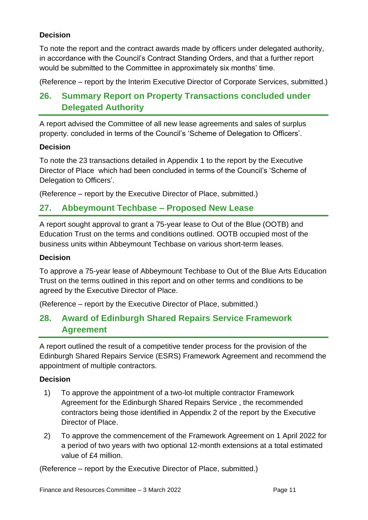To note the report and the contract awards made by officers under delegated authority, in accordance with the Council's Contract Standing Orders, and that a further report would be submitted to the Committee in approximately six months' time.

(Reference – report by the Interim Executive Director of Corporate Services, submitted.)

### **26. Summary Report on Property Transactions concluded under Delegated Authority**

A report advised the Committee of all new lease agreements and sales of surplus property. concluded in terms of the Council's 'Scheme of Delegation to Officers'.

#### **Decision**

To note the 23 transactions detailed in Appendix 1 to the report by the Executive Director of Place which had been concluded in terms of the Council's 'Scheme of Delegation to Officers'.

(Reference – report by the Executive Director of Place, submitted.)

#### **27. Abbeymount Techbase – Proposed New Lease**

A report sought approval to grant a 75-year lease to Out of the Blue (OOTB) and Education Trust on the terms and conditions outlined. OOTB occupied most of the business units within Abbeymount Techbase on various short-term leases.

#### **Decision**

To approve a 75-year lease of Abbeymount Techbase to Out of the Blue Arts Education Trust on the terms outlined in this report and on other terms and conditions to be agreed by the Executive Director of Place.

(Reference – report by the Executive Director of Place, submitted.)

### **28. Award of Edinburgh Shared Repairs Service Framework Agreement**

A report outlined the result of a competitive tender process for the provision of the Edinburgh Shared Repairs Service (ESRS) Framework Agreement and recommend the appointment of multiple contractors.

#### **Decision**

- 1) To approve the appointment of a two-lot multiple contractor Framework Agreement for the Edinburgh Shared Repairs Service , the recommended contractors being those identified in Appendix 2 of the report by the Executive Director of Place.
- 2) To approve the commencement of the Framework Agreement on 1 April 2022 for a period of two years with two optional 12-month extensions at a total estimated value of £4 million.

(Reference – report by the Executive Director of Place, submitted.)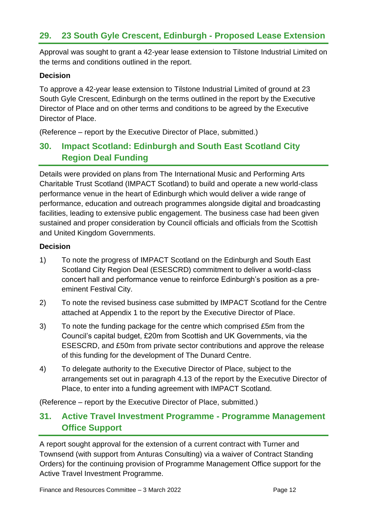### **29. 23 South Gyle Crescent, Edinburgh - Proposed Lease Extension**

Approval was sought to grant a 42-year lease extension to Tilstone Industrial Limited on the terms and conditions outlined in the report.

#### **Decision**

To approve a 42-year lease extension to Tilstone Industrial Limited of ground at 23 South Gyle Crescent, Edinburgh on the terms outlined in the report by the Executive Director of Place and on other terms and conditions to be agreed by the Executive Director of Place.

(Reference – report by the Executive Director of Place, submitted.)

### **30. Impact Scotland: Edinburgh and South East Scotland City Region Deal Funding**

Details were provided on plans from The International Music and Performing Arts Charitable Trust Scotland (IMPACT Scotland) to build and operate a new world-class performance venue in the heart of Edinburgh which would deliver a wide range of performance, education and outreach programmes alongside digital and broadcasting facilities, leading to extensive public engagement. The business case had been given sustained and proper consideration by Council officials and officials from the Scottish and United Kingdom Governments.

#### **Decision**

- 1) To note the progress of IMPACT Scotland on the Edinburgh and South East Scotland City Region Deal (ESESCRD) commitment to deliver a world-class concert hall and performance venue to reinforce Edinburgh's position as a preeminent Festival City.
- 2) To note the revised business case submitted by IMPACT Scotland for the Centre attached at Appendix 1 to the report by the Executive Director of Place.
- 3) To note the funding package for the centre which comprised £5m from the Council's capital budget, £20m from Scottish and UK Governments, via the ESESCRD, and £50m from private sector contributions and approve the release of this funding for the development of The Dunard Centre.
- 4) To delegate authority to the Executive Director of Place, subject to the arrangements set out in paragraph 4.13 of the report by the Executive Director of Place, to enter into a funding agreement with IMPACT Scotland.

(Reference – report by the Executive Director of Place, submitted.)

### **31. Active Travel Investment Programme - Programme Management Office Support**

A report sought approval for the extension of a current contract with Turner and Townsend (with support from Anturas Consulting) via a waiver of Contract Standing Orders) for the continuing provision of Programme Management Office support for the Active Travel Investment Programme.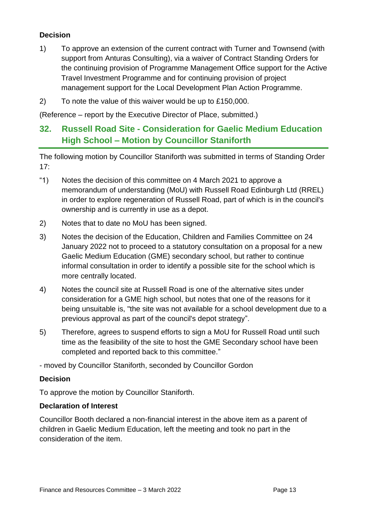- 1) To approve an extension of the current contract with Turner and Townsend (with support from Anturas Consulting), via a waiver of Contract Standing Orders for the continuing provision of Programme Management Office support for the Active Travel Investment Programme and for continuing provision of project management support for the Local Development Plan Action Programme.
- 2) To note the value of this waiver would be up to £150,000.

(Reference – report by the Executive Director of Place, submitted.)

### **32. Russell Road Site - Consideration for Gaelic Medium Education High School – Motion by Councillor Staniforth**

The following motion by Councillor Staniforth was submitted in terms of Standing Order 17:

- "1) Notes the decision of this committee on 4 March 2021 to approve a memorandum of understanding (MoU) with Russell Road Edinburgh Ltd (RREL) in order to explore regeneration of Russell Road, part of which is in the council's ownership and is currently in use as a depot.
- 2) Notes that to date no MoU has been signed.
- 3) Notes the decision of the Education, Children and Families Committee on 24 January 2022 not to proceed to a statutory consultation on a proposal for a new Gaelic Medium Education (GME) secondary school, but rather to continue informal consultation in order to identify a possible site for the school which is more centrally located.
- 4) Notes the council site at Russell Road is one of the alternative sites under consideration for a GME high school, but notes that one of the reasons for it being unsuitable is, "the site was not available for a school development due to a previous approval as part of the council's depot strategy".
- 5) Therefore, agrees to suspend efforts to sign a MoU for Russell Road until such time as the feasibility of the site to host the GME Secondary school have been completed and reported back to this committee."

- moved by Councillor Staniforth, seconded by Councillor Gordon

#### **Decision**

To approve the motion by Councillor Staniforth.

#### **Declaration of Interest**

Councillor Booth declared a non-financial interest in the above item as a parent of children in Gaelic Medium Education, left the meeting and took no part in the consideration of the item.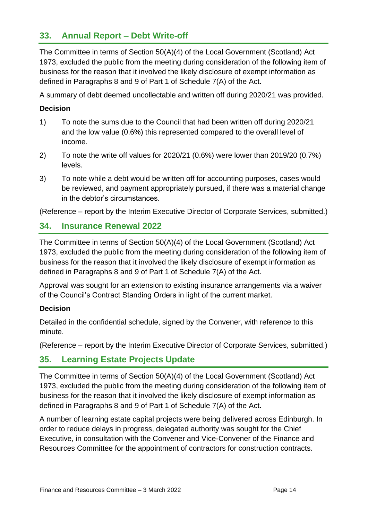### **33. Annual Report – Debt Write-off**

The Committee in terms of Section 50(A)(4) of the Local Government (Scotland) Act 1973, excluded the public from the meeting during consideration of the following item of business for the reason that it involved the likely disclosure of exempt information as defined in Paragraphs 8 and 9 of Part 1 of Schedule 7(A) of the Act.

A summary of debt deemed uncollectable and written off during 2020/21 was provided.

#### **Decision**

- 1) To note the sums due to the Council that had been written off during 2020/21 and the low value (0.6%) this represented compared to the overall level of income.
- 2) To note the write off values for 2020/21 (0.6%) were lower than 2019/20 (0.7%) levels.
- 3) To note while a debt would be written off for accounting purposes, cases would be reviewed, and payment appropriately pursued, if there was a material change in the debtor's circumstances.

(Reference – report by the Interim Executive Director of Corporate Services, submitted.)

### **34. Insurance Renewal 2022**

The Committee in terms of Section 50(A)(4) of the Local Government (Scotland) Act 1973, excluded the public from the meeting during consideration of the following item of business for the reason that it involved the likely disclosure of exempt information as defined in Paragraphs 8 and 9 of Part 1 of Schedule 7(A) of the Act.

Approval was sought for an extension to existing insurance arrangements via a waiver of the Council's Contract Standing Orders in light of the current market.

#### **Decision**

Detailed in the confidential schedule, signed by the Convener, with reference to this minute.

(Reference – report by the Interim Executive Director of Corporate Services, submitted.)

### **35. Learning Estate Projects Update**

The Committee in terms of Section 50(A)(4) of the Local Government (Scotland) Act 1973, excluded the public from the meeting during consideration of the following item of business for the reason that it involved the likely disclosure of exempt information as defined in Paragraphs 8 and 9 of Part 1 of Schedule 7(A) of the Act.

A number of learning estate capital projects were being delivered across Edinburgh. In order to reduce delays in progress, delegated authority was sought for the Chief Executive, in consultation with the Convener and Vice-Convener of the Finance and Resources Committee for the appointment of contractors for construction contracts.